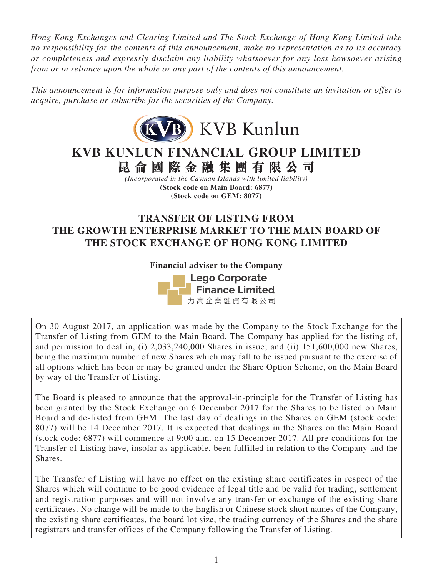*Hong Kong Exchanges and Clearing Limited and The Stock Exchange of Hong Kong Limited take no responsibility for the contents of this announcement, make no representation as to its accuracy or completeness and expressly disclaim any liability whatsoever for any loss howsoever arising from or in reliance upon the whole or any part of the contents of this announcement.*

*This announcement is for information purpose only and does not constitute an invitation or offer to acquire, purchase or subscribe for the securities of the Company.*



**KVB KUNLUN FINANCIAL GROUP LIMITED 昆侖國際金融集團有限公司**

*(Incorporated in the Cayman Islands with limited liability)* **(Stock code on Main Board: 6877) (Stock code on GEM: 8077)**

# **TRANSFER OF LISTING FROM THE GROWTH ENTERPRISE MARKET TO THE MAIN BOARD OF THE STOCK EXCHANGE OF HONG KONG LIMITED**

**Financial adviser to the Company Lego Corporate Finance Limited** 力高企業融資有限公司

On 30 August 2017, an application was made by the Company to the Stock Exchange for the Transfer of Listing from GEM to the Main Board. The Company has applied for the listing of, and permission to deal in, (i) 2,033,240,000 Shares in issue; and (ii) 151,600,000 new Shares, being the maximum number of new Shares which may fall to be issued pursuant to the exercise of all options which has been or may be granted under the Share Option Scheme, on the Main Board by way of the Transfer of Listing.

The Board is pleased to announce that the approval-in-principle for the Transfer of Listing has been granted by the Stock Exchange on 6 December 2017 for the Shares to be listed on Main Board and de-listed from GEM. The last day of dealings in the Shares on GEM (stock code: 8077) will be 14 December 2017. It is expected that dealings in the Shares on the Main Board (stock code: 6877) will commence at 9:00 a.m. on 15 December 2017. All pre-conditions for the Transfer of Listing have, insofar as applicable, been fulfilled in relation to the Company and the Shares.

The Transfer of Listing will have no effect on the existing share certificates in respect of the Shares which will continue to be good evidence of legal title and be valid for trading, settlement and registration purposes and will not involve any transfer or exchange of the existing share certificates. No change will be made to the English or Chinese stock short names of the Company, the existing share certificates, the board lot size, the trading currency of the Shares and the share registrars and transfer offices of the Company following the Transfer of Listing.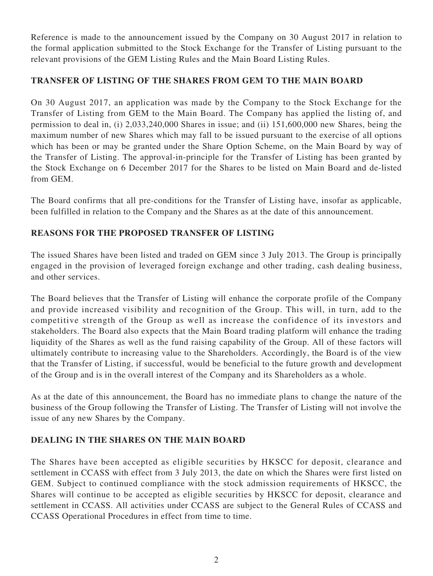Reference is made to the announcement issued by the Company on 30 August 2017 in relation to the formal application submitted to the Stock Exchange for the Transfer of Listing pursuant to the relevant provisions of the GEM Listing Rules and the Main Board Listing Rules.

# **TRANSFER OF LISTING OF THE SHARES FROM GEM TO THE MAIN BOARD**

On 30 August 2017, an application was made by the Company to the Stock Exchange for the Transfer of Listing from GEM to the Main Board. The Company has applied the listing of, and permission to deal in, (i) 2,033,240,000 Shares in issue; and (ii) 151,600,000 new Shares, being the maximum number of new Shares which may fall to be issued pursuant to the exercise of all options which has been or may be granted under the Share Option Scheme, on the Main Board by way of the Transfer of Listing. The approval-in-principle for the Transfer of Listing has been granted by the Stock Exchange on 6 December 2017 for the Shares to be listed on Main Board and de-listed from GEM.

The Board confirms that all pre-conditions for the Transfer of Listing have, insofar as applicable, been fulfilled in relation to the Company and the Shares as at the date of this announcement.

# **REASONS FOR THE PROPOSED TRANSFER OF LISTING**

The issued Shares have been listed and traded on GEM since 3 July 2013. The Group is principally engaged in the provision of leveraged foreign exchange and other trading, cash dealing business, and other services.

The Board believes that the Transfer of Listing will enhance the corporate profile of the Company and provide increased visibility and recognition of the Group. This will, in turn, add to the competitive strength of the Group as well as increase the confidence of its investors and stakeholders. The Board also expects that the Main Board trading platform will enhance the trading liquidity of the Shares as well as the fund raising capability of the Group. All of these factors will ultimately contribute to increasing value to the Shareholders. Accordingly, the Board is of the view that the Transfer of Listing, if successful, would be beneficial to the future growth and development of the Group and is in the overall interest of the Company and its Shareholders as a whole.

As at the date of this announcement, the Board has no immediate plans to change the nature of the business of the Group following the Transfer of Listing. The Transfer of Listing will not involve the issue of any new Shares by the Company.

# **DEALING IN THE SHARES ON THE MAIN BOARD**

The Shares have been accepted as eligible securities by HKSCC for deposit, clearance and settlement in CCASS with effect from 3 July 2013, the date on which the Shares were first listed on GEM. Subject to continued compliance with the stock admission requirements of HKSCC, the Shares will continue to be accepted as eligible securities by HKSCC for deposit, clearance and settlement in CCASS. All activities under CCASS are subject to the General Rules of CCASS and CCASS Operational Procedures in effect from time to time.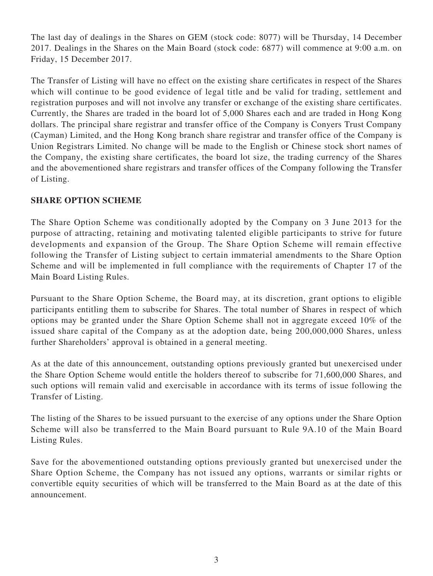The last day of dealings in the Shares on GEM (stock code: 8077) will be Thursday, 14 December 2017. Dealings in the Shares on the Main Board (stock code: 6877) will commence at 9:00 a.m. on Friday, 15 December 2017.

The Transfer of Listing will have no effect on the existing share certificates in respect of the Shares which will continue to be good evidence of legal title and be valid for trading, settlement and registration purposes and will not involve any transfer or exchange of the existing share certificates. Currently, the Shares are traded in the board lot of 5,000 Shares each and are traded in Hong Kong dollars. The principal share registrar and transfer office of the Company is Conyers Trust Company (Cayman) Limited, and the Hong Kong branch share registrar and transfer office of the Company is Union Registrars Limited. No change will be made to the English or Chinese stock short names of the Company, the existing share certificates, the board lot size, the trading currency of the Shares and the abovementioned share registrars and transfer offices of the Company following the Transfer of Listing.

# **SHARE OPTION SCHEME**

The Share Option Scheme was conditionally adopted by the Company on 3 June 2013 for the purpose of attracting, retaining and motivating talented eligible participants to strive for future developments and expansion of the Group. The Share Option Scheme will remain effective following the Transfer of Listing subject to certain immaterial amendments to the Share Option Scheme and will be implemented in full compliance with the requirements of Chapter 17 of the Main Board Listing Rules.

Pursuant to the Share Option Scheme, the Board may, at its discretion, grant options to eligible participants entitling them to subscribe for Shares. The total number of Shares in respect of which options may be granted under the Share Option Scheme shall not in aggregate exceed 10% of the issued share capital of the Company as at the adoption date, being 200,000,000 Shares, unless further Shareholders' approval is obtained in a general meeting.

As at the date of this announcement, outstanding options previously granted but unexercised under the Share Option Scheme would entitle the holders thereof to subscribe for 71,600,000 Shares, and such options will remain valid and exercisable in accordance with its terms of issue following the Transfer of Listing.

The listing of the Shares to be issued pursuant to the exercise of any options under the Share Option Scheme will also be transferred to the Main Board pursuant to Rule 9A.10 of the Main Board Listing Rules.

Save for the abovementioned outstanding options previously granted but unexercised under the Share Option Scheme, the Company has not issued any options, warrants or similar rights or convertible equity securities of which will be transferred to the Main Board as at the date of this announcement.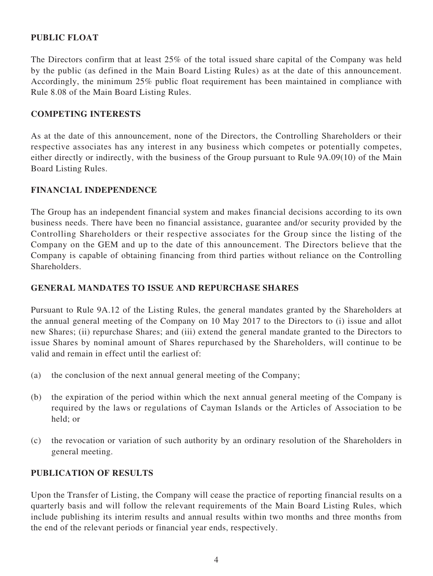# **PUBLIC FLOAT**

The Directors confirm that at least 25% of the total issued share capital of the Company was held by the public (as defined in the Main Board Listing Rules) as at the date of this announcement. Accordingly, the minimum 25% public float requirement has been maintained in compliance with Rule 8.08 of the Main Board Listing Rules.

#### **COMPETING INTERESTS**

As at the date of this announcement, none of the Directors, the Controlling Shareholders or their respective associates has any interest in any business which competes or potentially competes, either directly or indirectly, with the business of the Group pursuant to Rule 9A.09(10) of the Main Board Listing Rules.

### **FINANCIAL INDEPENDENCE**

The Group has an independent financial system and makes financial decisions according to its own business needs. There have been no financial assistance, guarantee and/or security provided by the Controlling Shareholders or their respective associates for the Group since the listing of the Company on the GEM and up to the date of this announcement. The Directors believe that the Company is capable of obtaining financing from third parties without reliance on the Controlling Shareholders.

### **GENERAL MANDATES TO ISSUE AND REPURCHASE SHARES**

Pursuant to Rule 9A.12 of the Listing Rules, the general mandates granted by the Shareholders at the annual general meeting of the Company on 10 May 2017 to the Directors to (i) issue and allot new Shares; (ii) repurchase Shares; and (iii) extend the general mandate granted to the Directors to issue Shares by nominal amount of Shares repurchased by the Shareholders, will continue to be valid and remain in effect until the earliest of:

- (a) the conclusion of the next annual general meeting of the Company;
- (b) the expiration of the period within which the next annual general meeting of the Company is required by the laws or regulations of Cayman Islands or the Articles of Association to be held; or
- (c) the revocation or variation of such authority by an ordinary resolution of the Shareholders in general meeting.

#### **PUBLICATION OF RESULTS**

Upon the Transfer of Listing, the Company will cease the practice of reporting financial results on a quarterly basis and will follow the relevant requirements of the Main Board Listing Rules, which include publishing its interim results and annual results within two months and three months from the end of the relevant periods or financial year ends, respectively.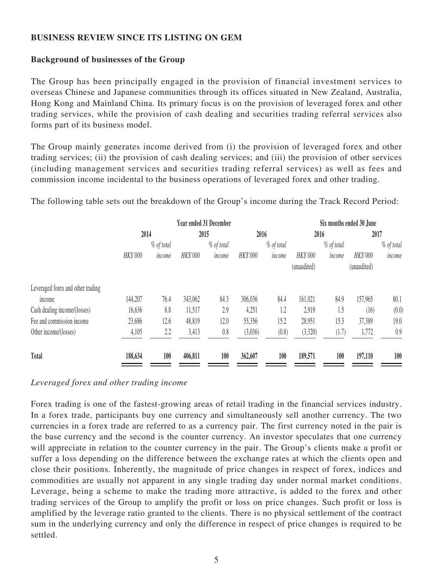### **BUSINESS REVIEW SINCE ITS LISTING ON GEM**

### **Background of businesses of the Group**

The Group has been principally engaged in the provision of financial investment services to overseas Chinese and Japanese communities through its offices situated in New Zealand, Australia, Hong Kong and Mainland China. Its primary focus is on the provision of leveraged forex and other trading services, while the provision of cash dealing and securities trading referral services also forms part of its business model.

The Group mainly generates income derived from (i) the provision of leveraged forex and other trading services; (ii) the provision of cash dealing services; and (iii) the provision of other services (including management services and securities trading referral services) as well as fees and commission income incidental to the business operations of leveraged forex and other trading.

The following table sets out the breakdown of the Group's income during the Track Record Period:

|                                             | <b>Year ended 31 December</b> |                      |          |                      | Six months ended 30 June |                      |                         |                      |                         |                      |
|---------------------------------------------|-------------------------------|----------------------|----------|----------------------|--------------------------|----------------------|-------------------------|----------------------|-------------------------|----------------------|
|                                             | 2014                          |                      | 2015     |                      | 2016                     |                      | 2016                    |                      | 2017                    |                      |
|                                             | HK\$'000                      | % of total<br>income | HK\$'000 | % of total<br>income | HK\$'000                 | % of total<br>income | HK\$'000<br>(unaudited) | % of total<br>income | HK\$'000<br>(unaudited) | % of total<br>income |
| Leveraged forex and other trading<br>income | 144,207                       | 76.4                 | 343,062  | 84.3                 | 306,036                  | 84.4                 | 161,021                 | 84.9                 | 157,965                 | 80.1                 |
| Cash dealing income/(losses)                | 16,636                        | 8.8                  | 11,517   | 2.9                  | 4,251                    | 1.2                  | 2,919                   | 1.5                  | (16)                    | (0.0)                |
| Fee and commission income                   | 23,686                        | 12.6                 | 48,819   | 12.0                 | 55,356                   | 15.2                 | 28,951                  | 15.3                 | 37,389                  | 19.0                 |
| Other income/(losses)                       | 4,105                         | 2.2                  | 3,413    | 0.8                  | (3,036)                  | (0.8)                | (3,320)                 | (1.7)                | 1,772                   | 0.9                  |
| <b>Total</b>                                | 188,634                       | 100                  | 406,811  | 100                  | 362,607                  | 100                  | 189,571                 | 100                  | 197,110                 | 100                  |

#### *Leveraged forex and other trading income*

Forex trading is one of the fastest-growing areas of retail trading in the financial services industry. In a forex trade, participants buy one currency and simultaneously sell another currency. The two currencies in a forex trade are referred to as a currency pair. The first currency noted in the pair is the base currency and the second is the counter currency. An investor speculates that one currency will appreciate in relation to the counter currency in the pair. The Group's clients make a profit or suffer a loss depending on the difference between the exchange rates at which the clients open and close their positions. Inherently, the magnitude of price changes in respect of forex, indices and commodities are usually not apparent in any single trading day under normal market conditions. Leverage, being a scheme to make the trading more attractive, is added to the forex and other trading services of the Group to amplify the profit or loss on price changes. Such profit or loss is amplified by the leverage ratio granted to the clients. There is no physical settlement of the contract sum in the underlying currency and only the difference in respect of price changes is required to be settled.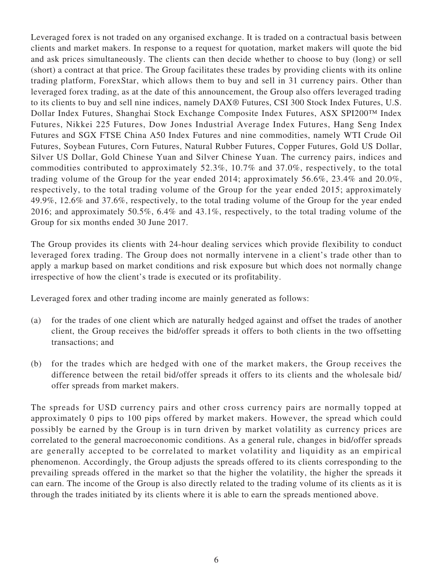Leveraged forex is not traded on any organised exchange. It is traded on a contractual basis between clients and market makers. In response to a request for quotation, market makers will quote the bid and ask prices simultaneously. The clients can then decide whether to choose to buy (long) or sell (short) a contract at that price. The Group facilitates these trades by providing clients with its online trading platform, ForexStar, which allows them to buy and sell in 31 currency pairs. Other than leveraged forex trading, as at the date of this announcement, the Group also offers leveraged trading to its clients to buy and sell nine indices, namely DAX® Futures, CSI 300 Stock Index Futures, U.S. Dollar Index Futures, Shanghai Stock Exchange Composite Index Futures, ASX SPI200™ Index Futures, Nikkei 225 Futures, Dow Jones Industrial Average Index Futures, Hang Seng Index Futures and SGX FTSE China A50 Index Futures and nine commodities, namely WTI Crude Oil Futures, Soybean Futures, Corn Futures, Natural Rubber Futures, Copper Futures, Gold US Dollar, Silver US Dollar, Gold Chinese Yuan and Silver Chinese Yuan. The currency pairs, indices and commodities contributed to approximately 52.3%, 10.7% and 37.0%, respectively, to the total trading volume of the Group for the year ended 2014; approximately 56.6%, 23.4% and 20.0%, respectively, to the total trading volume of the Group for the year ended 2015; approximately 49.9%, 12.6% and 37.6%, respectively, to the total trading volume of the Group for the year ended 2016; and approximately 50.5%, 6.4% and 43.1%, respectively, to the total trading volume of the Group for six months ended 30 June 2017.

The Group provides its clients with 24-hour dealing services which provide flexibility to conduct leveraged forex trading. The Group does not normally intervene in a client's trade other than to apply a markup based on market conditions and risk exposure but which does not normally change irrespective of how the client's trade is executed or its profitability.

Leveraged forex and other trading income are mainly generated as follows:

- (a) for the trades of one client which are naturally hedged against and offset the trades of another client, the Group receives the bid/offer spreads it offers to both clients in the two offsetting transactions; and
- (b) for the trades which are hedged with one of the market makers, the Group receives the difference between the retail bid/offer spreads it offers to its clients and the wholesale bid/ offer spreads from market makers.

The spreads for USD currency pairs and other cross currency pairs are normally topped at approximately 0 pips to 100 pips offered by market makers. However, the spread which could possibly be earned by the Group is in turn driven by market volatility as currency prices are correlated to the general macroeconomic conditions. As a general rule, changes in bid/offer spreads are generally accepted to be correlated to market volatility and liquidity as an empirical phenomenon. Accordingly, the Group adjusts the spreads offered to its clients corresponding to the prevailing spreads offered in the market so that the higher the volatility, the higher the spreads it can earn. The income of the Group is also directly related to the trading volume of its clients as it is through the trades initiated by its clients where it is able to earn the spreads mentioned above.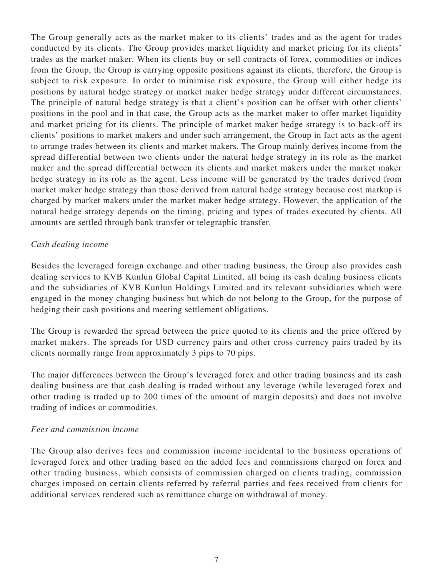The Group generally acts as the market maker to its clients' trades and as the agent for trades conducted by its clients. The Group provides market liquidity and market pricing for its clients' trades as the market maker. When its clients buy or sell contracts of forex, commodities or indices from the Group, the Group is carrying opposite positions against its clients, therefore, the Group is subject to risk exposure. In order to minimise risk exposure, the Group will either hedge its positions by natural hedge strategy or market maker hedge strategy under different circumstances. The principle of natural hedge strategy is that a client's position can be offset with other clients' positions in the pool and in that case, the Group acts as the market maker to offer market liquidity and market pricing for its clients. The principle of market maker hedge strategy is to back-off its clients' positions to market makers and under such arrangement, the Group in fact acts as the agent to arrange trades between its clients and market makers. The Group mainly derives income from the spread differential between two clients under the natural hedge strategy in its role as the market maker and the spread differential between its clients and market makers under the market maker hedge strategy in its role as the agent. Less income will be generated by the trades derived from market maker hedge strategy than those derived from natural hedge strategy because cost markup is charged by market makers under the market maker hedge strategy. However, the application of the natural hedge strategy depends on the timing, pricing and types of trades executed by clients. All amounts are settled through bank transfer or telegraphic transfer.

#### *Cash dealing income*

Besides the leveraged foreign exchange and other trading business, the Group also provides cash dealing services to KVB Kunlun Global Capital Limited, all being its cash dealing business clients and the subsidiaries of KVB Kunlun Holdings Limited and its relevant subsidiaries which were engaged in the money changing business but which do not belong to the Group, for the purpose of hedging their cash positions and meeting settlement obligations.

The Group is rewarded the spread between the price quoted to its clients and the price offered by market makers. The spreads for USD currency pairs and other cross currency pairs traded by its clients normally range from approximately 3 pips to 70 pips.

The major differences between the Group's leveraged forex and other trading business and its cash dealing business are that cash dealing is traded without any leverage (while leveraged forex and other trading is traded up to 200 times of the amount of margin deposits) and does not involve trading of indices or commodities.

#### *Fees and commission income*

The Group also derives fees and commission income incidental to the business operations of leveraged forex and other trading based on the added fees and commissions charged on forex and other trading business, which consists of commission charged on clients trading, commission charges imposed on certain clients referred by referral parties and fees received from clients for additional services rendered such as remittance charge on withdrawal of money.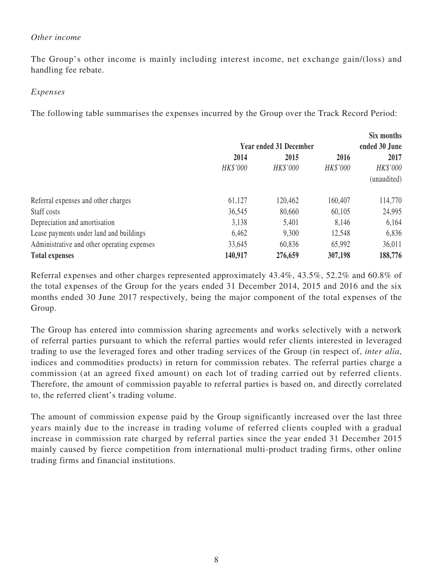#### *Other income*

The Group's other income is mainly including interest income, net exchange gain/(loss) and handling fee rebate.

#### *Expenses*

The following table summarises the expenses incurred by the Group over the Track Record Period:

|                                             |                                                       |          |          | Six months<br>ended 30 June |  |
|---------------------------------------------|-------------------------------------------------------|----------|----------|-----------------------------|--|
|                                             | <b>Year ended 31 December</b><br>2014<br>2016<br>2015 |          |          | 2017                        |  |
|                                             | HK\$'000                                              | HK\$'000 | HK\$'000 | HK\$'000                    |  |
|                                             |                                                       |          |          | (unaudited)                 |  |
| Referral expenses and other charges         | 61,127                                                | 120,462  | 160,407  | 114,770                     |  |
| Staff costs                                 | 36,545                                                | 80,660   | 60,105   | 24,995                      |  |
| Depreciation and amortisation               | 3,138                                                 | 5,401    | 8,146    | 6,164                       |  |
| Lease payments under land and buildings     | 6,462                                                 | 9,300    | 12,548   | 6,836                       |  |
| Administrative and other operating expenses | 33,645                                                | 60,836   | 65,992   | 36,011                      |  |
| <b>Total expenses</b>                       | 140,917                                               | 276,659  | 307,198  | 188,776                     |  |

Referral expenses and other charges represented approximately 43.4%, 43.5%, 52.2% and 60.8% of the total expenses of the Group for the years ended 31 December 2014, 2015 and 2016 and the six months ended 30 June 2017 respectively, being the major component of the total expenses of the Group.

The Group has entered into commission sharing agreements and works selectively with a network of referral parties pursuant to which the referral parties would refer clients interested in leveraged trading to use the leveraged forex and other trading services of the Group (in respect of, *inter alia*, indices and commodities products) in return for commission rebates. The referral parties charge a commission (at an agreed fixed amount) on each lot of trading carried out by referred clients. Therefore, the amount of commission payable to referral parties is based on, and directly correlated to, the referred client's trading volume.

The amount of commission expense paid by the Group significantly increased over the last three years mainly due to the increase in trading volume of referred clients coupled with a gradual increase in commission rate charged by referral parties since the year ended 31 December 2015 mainly caused by fierce competition from international multi-product trading firms, other online trading firms and financial institutions.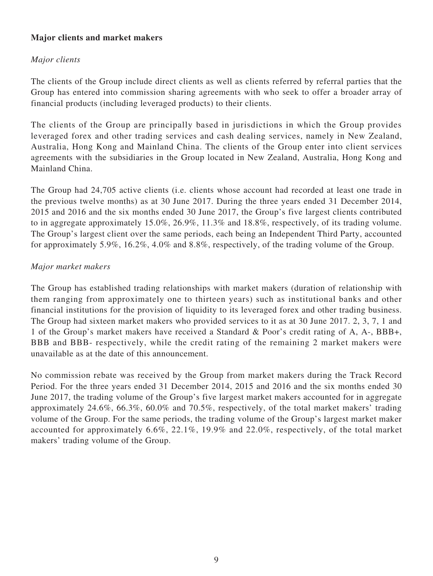# **Major clients and market makers**

# *Major clients*

The clients of the Group include direct clients as well as clients referred by referral parties that the Group has entered into commission sharing agreements with who seek to offer a broader array of financial products (including leveraged products) to their clients.

The clients of the Group are principally based in jurisdictions in which the Group provides leveraged forex and other trading services and cash dealing services, namely in New Zealand, Australia, Hong Kong and Mainland China. The clients of the Group enter into client services agreements with the subsidiaries in the Group located in New Zealand, Australia, Hong Kong and Mainland China.

The Group had 24,705 active clients (i.e. clients whose account had recorded at least one trade in the previous twelve months) as at 30 June 2017. During the three years ended 31 December 2014, 2015 and 2016 and the six months ended 30 June 2017, the Group's five largest clients contributed to in aggregate approximately 15.0%, 26.9%, 11.3% and 18.8%, respectively, of its trading volume. The Group's largest client over the same periods, each being an Independent Third Party, accounted for approximately 5.9%, 16.2%, 4.0% and 8.8%, respectively, of the trading volume of the Group.

### *Major market makers*

The Group has established trading relationships with market makers (duration of relationship with them ranging from approximately one to thirteen years) such as institutional banks and other financial institutions for the provision of liquidity to its leveraged forex and other trading business. The Group had sixteen market makers who provided services to it as at 30 June 2017. 2, 3, 7, 1 and 1 of the Group's market makers have received a Standard & Poor's credit rating of A, A-, BBB+, BBB and BBB- respectively, while the credit rating of the remaining 2 market makers were unavailable as at the date of this announcement.

No commission rebate was received by the Group from market makers during the Track Record Period. For the three years ended 31 December 2014, 2015 and 2016 and the six months ended 30 June 2017, the trading volume of the Group's five largest market makers accounted for in aggregate approximately 24.6%, 66.3%, 60.0% and 70.5%, respectively, of the total market makers' trading volume of the Group. For the same periods, the trading volume of the Group's largest market maker accounted for approximately 6.6%, 22.1%, 19.9% and 22.0%, respectively, of the total market makers' trading volume of the Group.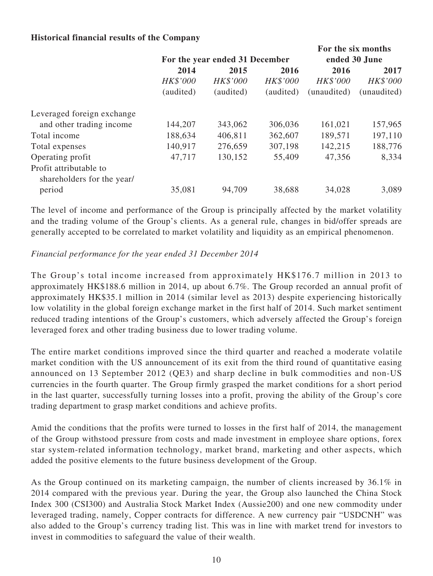### **Historical financial results of the Company**

|                            |           |                                |                 |             | For the six months |
|----------------------------|-----------|--------------------------------|-----------------|-------------|--------------------|
|                            |           | For the year ended 31 December | ended 30 June   |             |                    |
|                            | 2014      | 2015                           | 2016            | 2016        | 2017               |
|                            | HK\$'000  | HK\$'000                       | <b>HK\$'000</b> | HK\$'000    | HK\$'000           |
|                            | (audited) | (audited)                      | (audited)       | (unaudited) | (unaudited)        |
| Leveraged foreign exchange |           |                                |                 |             |                    |
| and other trading income   | 144,207   | 343,062                        | 306,036         | 161,021     | 157,965            |
| Total income               | 188,634   | 406,811                        | 362,607         | 189,571     | 197,110            |
| Total expenses             | 140,917   | 276,659                        | 307,198         | 142,215     | 188,776            |
| Operating profit           | 47,717    | 130,152                        | 55,409          | 47,356      | 8,334              |
| Profit attributable to     |           |                                |                 |             |                    |
| shareholders for the year/ |           |                                |                 |             |                    |
| period                     | 35,081    | 94,709                         | 38,688          | 34,028      | 3,089              |

The level of income and performance of the Group is principally affected by the market volatility and the trading volume of the Group's clients. As a general rule, changes in bid/offer spreads are generally accepted to be correlated to market volatility and liquidity as an empirical phenomenon.

### *Financial performance for the year ended 31 December 2014*

The Group's total income increased from approximately HK\$176.7 million in 2013 to approximately HK\$188.6 million in 2014, up about 6.7%. The Group recorded an annual profit of approximately HK\$35.1 million in 2014 (similar level as 2013) despite experiencing historically low volatility in the global foreign exchange market in the first half of 2014. Such market sentiment reduced trading intentions of the Group's customers, which adversely affected the Group's foreign leveraged forex and other trading business due to lower trading volume.

The entire market conditions improved since the third quarter and reached a moderate volatile market condition with the US announcement of its exit from the third round of quantitative easing announced on 13 September 2012 (QE3) and sharp decline in bulk commodities and non-US currencies in the fourth quarter. The Group firmly grasped the market conditions for a short period in the last quarter, successfully turning losses into a profit, proving the ability of the Group's core trading department to grasp market conditions and achieve profits.

Amid the conditions that the profits were turned to losses in the first half of 2014, the management of the Group withstood pressure from costs and made investment in employee share options, forex star system-related information technology, market brand, marketing and other aspects, which added the positive elements to the future business development of the Group.

As the Group continued on its marketing campaign, the number of clients increased by 36.1% in 2014 compared with the previous year. During the year, the Group also launched the China Stock Index 300 (CSI300) and Australia Stock Market Index (Aussie200) and one new commodity under leveraged trading, namely, Copper contracts for difference. A new currency pair "USDCNH" was also added to the Group's currency trading list. This was in line with market trend for investors to invest in commodities to safeguard the value of their wealth.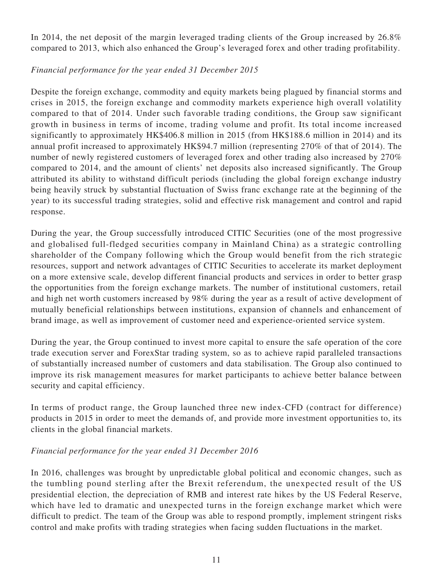In 2014, the net deposit of the margin leveraged trading clients of the Group increased by 26.8% compared to 2013, which also enhanced the Group's leveraged forex and other trading profitability.

### *Financial performance for the year ended 31 December 2015*

Despite the foreign exchange, commodity and equity markets being plagued by financial storms and crises in 2015, the foreign exchange and commodity markets experience high overall volatility compared to that of 2014. Under such favorable trading conditions, the Group saw significant growth in business in terms of income, trading volume and profit. Its total income increased significantly to approximately HK\$406.8 million in 2015 (from HK\$188.6 million in 2014) and its annual profit increased to approximately HK\$94.7 million (representing 270% of that of 2014). The number of newly registered customers of leveraged forex and other trading also increased by 270% compared to 2014, and the amount of clients' net deposits also increased significantly. The Group attributed its ability to withstand difficult periods (including the global foreign exchange industry being heavily struck by substantial fluctuation of Swiss franc exchange rate at the beginning of the year) to its successful trading strategies, solid and effective risk management and control and rapid response.

During the year, the Group successfully introduced CITIC Securities (one of the most progressive and globalised full-fledged securities company in Mainland China) as a strategic controlling shareholder of the Company following which the Group would benefit from the rich strategic resources, support and network advantages of CITIC Securities to accelerate its market deployment on a more extensive scale, develop different financial products and services in order to better grasp the opportunities from the foreign exchange markets. The number of institutional customers, retail and high net worth customers increased by 98% during the year as a result of active development of mutually beneficial relationships between institutions, expansion of channels and enhancement of brand image, as well as improvement of customer need and experience-oriented service system.

During the year, the Group continued to invest more capital to ensure the safe operation of the core trade execution server and ForexStar trading system, so as to achieve rapid paralleled transactions of substantially increased number of customers and data stabilisation. The Group also continued to improve its risk management measures for market participants to achieve better balance between security and capital efficiency.

In terms of product range, the Group launched three new index-CFD (contract for difference) products in 2015 in order to meet the demands of, and provide more investment opportunities to, its clients in the global financial markets.

### *Financial performance for the year ended 31 December 2016*

In 2016, challenges was brought by unpredictable global political and economic changes, such as the tumbling pound sterling after the Brexit referendum, the unexpected result of the US presidential election, the depreciation of RMB and interest rate hikes by the US Federal Reserve, which have led to dramatic and unexpected turns in the foreign exchange market which were difficult to predict. The team of the Group was able to respond promptly, implement stringent risks control and make profits with trading strategies when facing sudden fluctuations in the market.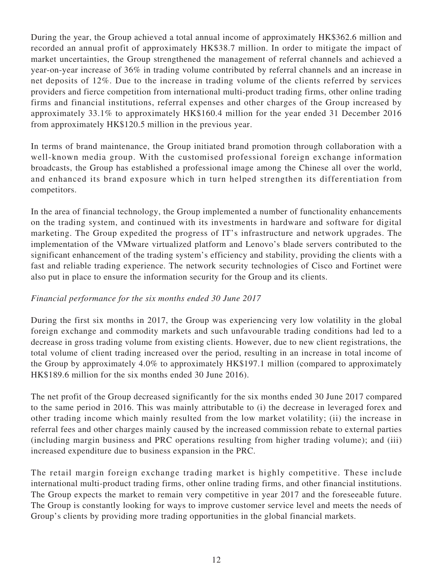During the year, the Group achieved a total annual income of approximately HK\$362.6 million and recorded an annual profit of approximately HK\$38.7 million. In order to mitigate the impact of market uncertainties, the Group strengthened the management of referral channels and achieved a year-on-year increase of 36% in trading volume contributed by referral channels and an increase in net deposits of 12%. Due to the increase in trading volume of the clients referred by services providers and fierce competition from international multi-product trading firms, other online trading firms and financial institutions, referral expenses and other charges of the Group increased by approximately 33.1% to approximately HK\$160.4 million for the year ended 31 December 2016 from approximately HK\$120.5 million in the previous year.

In terms of brand maintenance, the Group initiated brand promotion through collaboration with a well-known media group. With the customised professional foreign exchange information broadcasts, the Group has established a professional image among the Chinese all over the world, and enhanced its brand exposure which in turn helped strengthen its differentiation from competitors.

In the area of financial technology, the Group implemented a number of functionality enhancements on the trading system, and continued with its investments in hardware and software for digital marketing. The Group expedited the progress of IT's infrastructure and network upgrades. The implementation of the VMware virtualized platform and Lenovo's blade servers contributed to the significant enhancement of the trading system's efficiency and stability, providing the clients with a fast and reliable trading experience. The network security technologies of Cisco and Fortinet were also put in place to ensure the information security for the Group and its clients.

# *Financial performance for the six months ended 30 June 2017*

During the first six months in 2017, the Group was experiencing very low volatility in the global foreign exchange and commodity markets and such unfavourable trading conditions had led to a decrease in gross trading volume from existing clients. However, due to new client registrations, the total volume of client trading increased over the period, resulting in an increase in total income of the Group by approximately 4.0% to approximately HK\$197.1 million (compared to approximately HK\$189.6 million for the six months ended 30 June 2016).

The net profit of the Group decreased significantly for the six months ended 30 June 2017 compared to the same period in 2016. This was mainly attributable to (i) the decrease in leveraged forex and other trading income which mainly resulted from the low market volatility; (ii) the increase in referral fees and other charges mainly caused by the increased commission rebate to external parties (including margin business and PRC operations resulting from higher trading volume); and (iii) increased expenditure due to business expansion in the PRC.

The retail margin foreign exchange trading market is highly competitive. These include international multi-product trading firms, other online trading firms, and other financial institutions. The Group expects the market to remain very competitive in year 2017 and the foreseeable future. The Group is constantly looking for ways to improve customer service level and meets the needs of Group's clients by providing more trading opportunities in the global financial markets.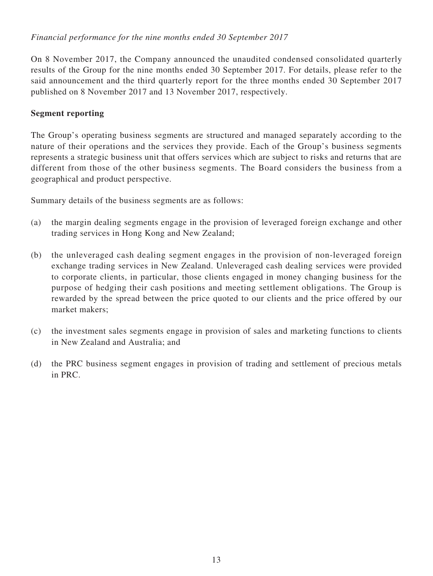# *Financial performance for the nine months ended 30 September 2017*

On 8 November 2017, the Company announced the unaudited condensed consolidated quarterly results of the Group for the nine months ended 30 September 2017. For details, please refer to the said announcement and the third quarterly report for the three months ended 30 September 2017 published on 8 November 2017 and 13 November 2017, respectively.

#### **Segment reporting**

The Group's operating business segments are structured and managed separately according to the nature of their operations and the services they provide. Each of the Group's business segments represents a strategic business unit that offers services which are subject to risks and returns that are different from those of the other business segments. The Board considers the business from a geographical and product perspective.

Summary details of the business segments are as follows:

- (a) the margin dealing segments engage in the provision of leveraged foreign exchange and other trading services in Hong Kong and New Zealand;
- (b) the unleveraged cash dealing segment engages in the provision of non-leveraged foreign exchange trading services in New Zealand. Unleveraged cash dealing services were provided to corporate clients, in particular, those clients engaged in money changing business for the purpose of hedging their cash positions and meeting settlement obligations. The Group is rewarded by the spread between the price quoted to our clients and the price offered by our market makers;
- (c) the investment sales segments engage in provision of sales and marketing functions to clients in New Zealand and Australia; and
- (d) the PRC business segment engages in provision of trading and settlement of precious metals in PRC.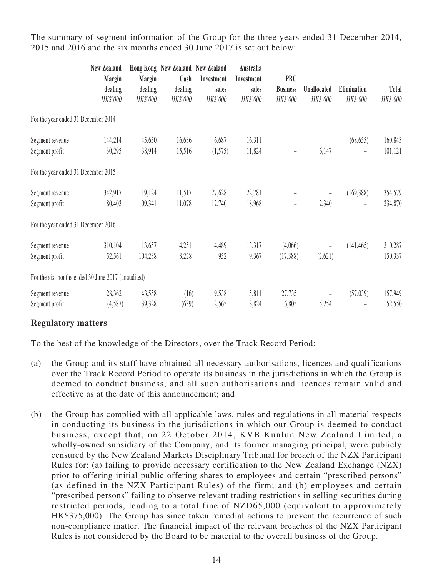The summary of segment information of the Group for the three years ended 31 December 2014, 2015 and 2016 and the six months ended 30 June 2017 is set out below:

|                                                   | <b>New Zealand</b><br><b>Margin</b><br>dealing<br>HK\$'000 | <b>Margin</b><br>dealing<br>HK\$'000 | Hong Kong New Zealand New Zealand<br>Cash<br>dealing<br>HK\$'000 | Investment<br>sales<br>HK\$'000 | Australia<br>Investment<br>sales<br>HK\$'000 | <b>PRC</b><br><b>Business</b><br>HK\$'000 | Unallocated<br>HK\$'000           | Elimination<br>HK\$'000 | Total<br>HK\$'000  |
|---------------------------------------------------|------------------------------------------------------------|--------------------------------------|------------------------------------------------------------------|---------------------------------|----------------------------------------------|-------------------------------------------|-----------------------------------|-------------------------|--------------------|
| For the year ended 31 December 2014               |                                                            |                                      |                                                                  |                                 |                                              |                                           |                                   |                         |                    |
| Segment revenue<br>Segment profit                 | 144,214<br>30,295                                          | 45,650<br>38,914                     | 16,636<br>15,516                                                 | 6,687<br>(1,575)                | 16,311<br>11,824                             | $\overline{\phantom{a}}$                  | $\qquad \qquad -$<br>6,147        | (68, 655)               | 160,843<br>101,121 |
| For the year ended 31 December 2015               |                                                            |                                      |                                                                  |                                 |                                              |                                           |                                   |                         |                    |
| Segment revenue<br>Segment profit                 | 342,917<br>80,403                                          | 119,124<br>109,341                   | 11,517<br>11,078                                                 | 27,628<br>12,740                | 22,781<br>18,968                             | $\qquad \qquad -$                         | $\overline{\phantom{0}}$<br>2,340 | (169, 388)              | 354,579<br>234,870 |
| For the year ended 31 December 2016               |                                                            |                                      |                                                                  |                                 |                                              |                                           |                                   |                         |                    |
| Segment revenue<br>Segment profit                 | 310,104<br>52,561                                          | 113,657<br>104,238                   | 4,251<br>3,228                                                   | 14,489<br>952                   | 13,317<br>9,367                              | (4,066)<br>(17,388)                       | $\qquad \qquad -$<br>(2,621)      | (141, 465)              | 310,287<br>150,337 |
| For the six months ended 30 June 2017 (unaudited) |                                                            |                                      |                                                                  |                                 |                                              |                                           |                                   |                         |                    |
| Segment revenue<br>Segment profit                 | 128,362<br>(4,587)                                         | 43,558<br>39,328                     | (16)<br>(639)                                                    | 9,538<br>2,565                  | 5,811<br>3,824                               | 27,735<br>6,805                           | $\qquad \qquad -$<br>5,254        | (57,039)                | 157,949<br>52,550  |

### **Regulatory matters**

To the best of the knowledge of the Directors, over the Track Record Period:

- (a) the Group and its staff have obtained all necessary authorisations, licences and qualifications over the Track Record Period to operate its business in the jurisdictions in which the Group is deemed to conduct business, and all such authorisations and licences remain valid and effective as at the date of this announcement; and
- (b) the Group has complied with all applicable laws, rules and regulations in all material respects in conducting its business in the jurisdictions in which our Group is deemed to conduct business, except that, on 22 October 2014, KVB Kunlun New Zealand Limited, a wholly-owned subsidiary of the Company, and its former managing principal, were publicly censured by the New Zealand Markets Disciplinary Tribunal for breach of the NZX Participant Rules for: (a) failing to provide necessary certification to the New Zealand Exchange (NZX) prior to offering initial public offering shares to employees and certain "prescribed persons" (as defined in the NZX Participant Rules) of the firm; and (b) employees and certain "prescribed persons" failing to observe relevant trading restrictions in selling securities during restricted periods, leading to a total fine of NZD65,000 (equivalent to approximately HK\$375,000). The Group has since taken remedial actions to prevent the recurrence of such non-compliance matter. The financial impact of the relevant breaches of the NZX Participant Rules is not considered by the Board to be material to the overall business of the Group.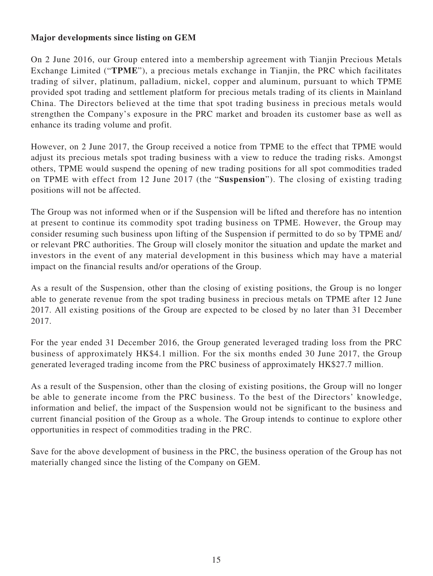# **Major developments since listing on GEM**

On 2 June 2016, our Group entered into a membership agreement with Tianjin Precious Metals Exchange Limited ("**TPME**"), a precious metals exchange in Tianjin, the PRC which facilitates trading of silver, platinum, palladium, nickel, copper and aluminum, pursuant to which TPME provided spot trading and settlement platform for precious metals trading of its clients in Mainland China. The Directors believed at the time that spot trading business in precious metals would strengthen the Company's exposure in the PRC market and broaden its customer base as well as enhance its trading volume and profit.

However, on 2 June 2017, the Group received a notice from TPME to the effect that TPME would adjust its precious metals spot trading business with a view to reduce the trading risks. Amongst others, TPME would suspend the opening of new trading positions for all spot commodities traded on TPME with effect from 12 June 2017 (the "**Suspension**"). The closing of existing trading positions will not be affected.

The Group was not informed when or if the Suspension will be lifted and therefore has no intention at present to continue its commodity spot trading business on TPME. However, the Group may consider resuming such business upon lifting of the Suspension if permitted to do so by TPME and/ or relevant PRC authorities. The Group will closely monitor the situation and update the market and investors in the event of any material development in this business which may have a material impact on the financial results and/or operations of the Group.

As a result of the Suspension, other than the closing of existing positions, the Group is no longer able to generate revenue from the spot trading business in precious metals on TPME after 12 June 2017. All existing positions of the Group are expected to be closed by no later than 31 December 2017.

For the year ended 31 December 2016, the Group generated leveraged trading loss from the PRC business of approximately HK\$4.1 million. For the six months ended 30 June 2017, the Group generated leveraged trading income from the PRC business of approximately HK\$27.7 million.

As a result of the Suspension, other than the closing of existing positions, the Group will no longer be able to generate income from the PRC business. To the best of the Directors' knowledge, information and belief, the impact of the Suspension would not be significant to the business and current financial position of the Group as a whole. The Group intends to continue to explore other opportunities in respect of commodities trading in the PRC.

Save for the above development of business in the PRC, the business operation of the Group has not materially changed since the listing of the Company on GEM.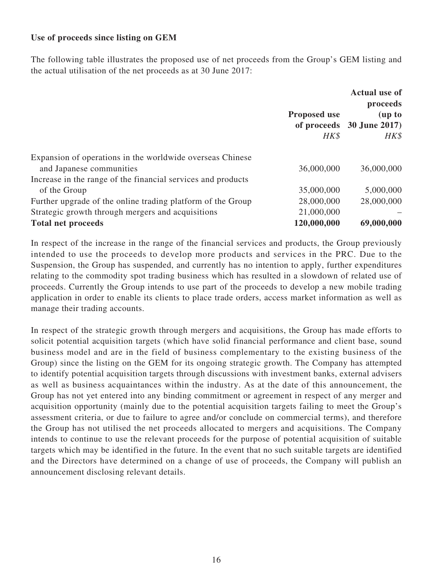### **Use of proceeds since listing on GEM**

The following table illustrates the proposed use of net proceeds from the Group's GEM listing and the actual utilisation of the net proceeds as at 30 June 2017:

|                                                              | <b>Proposed use</b><br>HK\$ | <b>Actual use of</b><br>proceeds<br>(up to<br>of proceeds 30 June 2017)<br>HK\$ |
|--------------------------------------------------------------|-----------------------------|---------------------------------------------------------------------------------|
| Expansion of operations in the worldwide overseas Chinese    |                             |                                                                                 |
| and Japanese communities                                     | 36,000,000                  | 36,000,000                                                                      |
| Increase in the range of the financial services and products |                             |                                                                                 |
| of the Group                                                 | 35,000,000                  | 5,000,000                                                                       |
| Further upgrade of the online trading platform of the Group  | 28,000,000                  | 28,000,000                                                                      |
| Strategic growth through mergers and acquisitions            | 21,000,000                  |                                                                                 |
| <b>Total net proceeds</b>                                    | 120,000,000                 | 69,000,000                                                                      |

In respect of the increase in the range of the financial services and products, the Group previously intended to use the proceeds to develop more products and services in the PRC. Due to the Suspension, the Group has suspended, and currently has no intention to apply, further expenditures relating to the commodity spot trading business which has resulted in a slowdown of related use of proceeds. Currently the Group intends to use part of the proceeds to develop a new mobile trading application in order to enable its clients to place trade orders, access market information as well as manage their trading accounts.

In respect of the strategic growth through mergers and acquisitions, the Group has made efforts to solicit potential acquisition targets (which have solid financial performance and client base, sound business model and are in the field of business complementary to the existing business of the Group) since the listing on the GEM for its ongoing strategic growth. The Company has attempted to identify potential acquisition targets through discussions with investment banks, external advisers as well as business acquaintances within the industry. As at the date of this announcement, the Group has not yet entered into any binding commitment or agreement in respect of any merger and acquisition opportunity (mainly due to the potential acquisition targets failing to meet the Group's assessment criteria, or due to failure to agree and/or conclude on commercial terms), and therefore the Group has not utilised the net proceeds allocated to mergers and acquisitions. The Company intends to continue to use the relevant proceeds for the purpose of potential acquisition of suitable targets which may be identified in the future. In the event that no such suitable targets are identified and the Directors have determined on a change of use of proceeds, the Company will publish an announcement disclosing relevant details.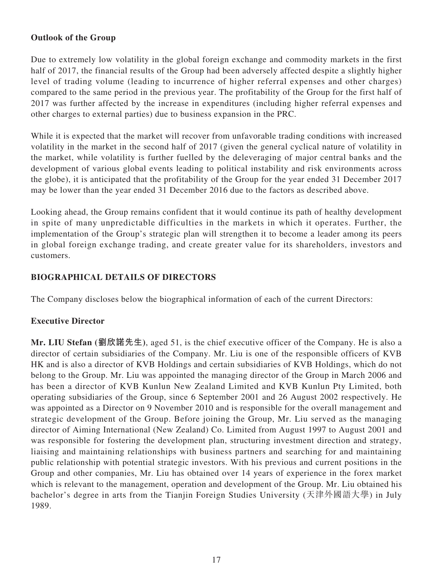# **Outlook of the Group**

Due to extremely low volatility in the global foreign exchange and commodity markets in the first half of 2017, the financial results of the Group had been adversely affected despite a slightly higher level of trading volume (leading to incurrence of higher referral expenses and other charges) compared to the same period in the previous year. The profitability of the Group for the first half of 2017 was further affected by the increase in expenditures (including higher referral expenses and other charges to external parties) due to business expansion in the PRC.

While it is expected that the market will recover from unfavorable trading conditions with increased volatility in the market in the second half of 2017 (given the general cyclical nature of volatility in the market, while volatility is further fuelled by the deleveraging of major central banks and the development of various global events leading to political instability and risk environments across the globe), it is anticipated that the profitability of the Group for the year ended 31 December 2017 may be lower than the year ended 31 December 2016 due to the factors as described above.

Looking ahead, the Group remains confident that it would continue its path of healthy development in spite of many unpredictable difficulties in the markets in which it operates. Further, the implementation of the Group's strategic plan will strengthen it to become a leader among its peers in global foreign exchange trading, and create greater value for its shareholders, investors and customers.

# **BIOGRAPHICAL DETAILS OF DIRECTORS**

The Company discloses below the biographical information of each of the current Directors:

### **Executive Director**

**Mr. LIU Stefan (劉欣諾先生)**, aged 51, is the chief executive officer of the Company. He is also a director of certain subsidiaries of the Company. Mr. Liu is one of the responsible officers of KVB HK and is also a director of KVB Holdings and certain subsidiaries of KVB Holdings, which do not belong to the Group. Mr. Liu was appointed the managing director of the Group in March 2006 and has been a director of KVB Kunlun New Zealand Limited and KVB Kunlun Pty Limited, both operating subsidiaries of the Group, since 6 September 2001 and 26 August 2002 respectively. He was appointed as a Director on 9 November 2010 and is responsible for the overall management and strategic development of the Group. Before joining the Group, Mr. Liu served as the managing director of Aiming International (New Zealand) Co. Limited from August 1997 to August 2001 and was responsible for fostering the development plan, structuring investment direction and strategy, liaising and maintaining relationships with business partners and searching for and maintaining public relationship with potential strategic investors. With his previous and current positions in the Group and other companies, Mr. Liu has obtained over 14 years of experience in the forex market which is relevant to the management, operation and development of the Group. Mr. Liu obtained his bachelor's degree in arts from the Tianjin Foreign Studies University (天津外國語大學) in July 1989.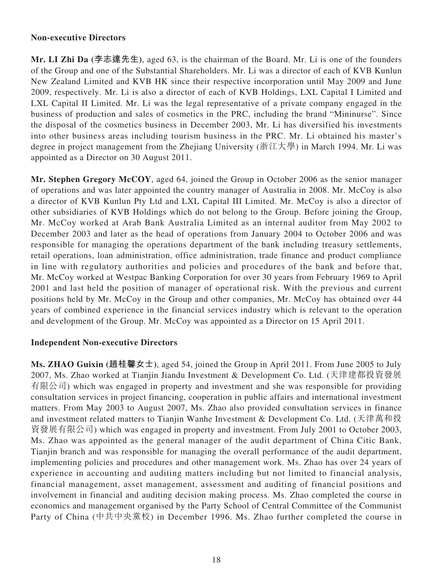#### **Non-executive Directors**

**Mr. LI Zhi Da (李志達先生)**, aged 63, is the chairman of the Board. Mr. Li is one of the founders of the Group and one of the Substantial Shareholders. Mr. Li was a director of each of KVB Kunlun New Zealand Limited and KVB HK since their respective incorporation until May 2009 and June 2009, respectively. Mr. Li is also a director of each of KVB Holdings, LXL Capital I Limited and LXL Capital II Limited. Mr. Li was the legal representative of a private company engaged in the business of production and sales of cosmetics in the PRC, including the brand "Mininurse". Since the disposal of the cosmetics business in December 2003, Mr. Li has diversified his investments into other business areas including tourism business in the PRC. Mr. Li obtained his master's degree in project management from the Zhejiang University (浙江大學) in March 1994. Mr. Li was appointed as a Director on 30 August 2011.

**Mr. Stephen Gregory McCOY**, aged 64, joined the Group in October 2006 as the senior manager of operations and was later appointed the country manager of Australia in 2008. Mr. McCoy is also a director of KVB Kunlun Pty Ltd and LXL Capital III Limited. Mr. McCoy is also a director of other subsidiaries of KVB Holdings which do not belong to the Group. Before joining the Group, Mr. McCoy worked at Arab Bank Australia Limited as an internal auditor from May 2002 to December 2003 and later as the head of operations from January 2004 to October 2006 and was responsible for managing the operations department of the bank including treasury settlements, retail operations, loan administration, office administration, trade finance and product compliance in line with regulatory authorities and policies and procedures of the bank and before that, Mr. McCoy worked at Westpac Banking Corporation for over 30 years from February 1969 to April 2001 and last held the position of manager of operational risk. With the previous and current positions held by Mr. McCoy in the Group and other companies, Mr. McCoy has obtained over 44 years of combined experience in the financial services industry which is relevant to the operation and development of the Group. Mr. McCoy was appointed as a Director on 15 April 2011.

### **Independent Non-executive Directors**

**Ms. ZHAO Guixin (趙桂馨女士)**, aged 54, joined the Group in April 2011. From June 2005 to July 2007, Ms. Zhao worked at Tianjin Jiandu Investment & Development Co. Ltd. (天津建都投資發展 有限公司) which was engaged in property and investment and she was responsible for providing consultation services in project financing, cooperation in public affairs and international investment matters. From May 2003 to August 2007, Ms. Zhao also provided consultation services in finance and investment related matters to Tianjin Wanhe Investment & Development Co. Ltd. (天津萬和投 資發展有限公司) which was engaged in property and investment. From July 2001 to October 2003, Ms. Zhao was appointed as the general manager of the audit department of China Citic Bank, Tianjin branch and was responsible for managing the overall performance of the audit department, implementing policies and procedures and other management work. Ms. Zhao has over 24 years of experience in accounting and auditing matters including but not limited to financial analysis, financial management, asset management, assessment and auditing of financial positions and involvement in financial and auditing decision making process. Ms. Zhao completed the course in economics and management organised by the Party School of Central Committee of the Communist Party of China (中共中央黨校) in December 1996. Ms. Zhao further completed the course in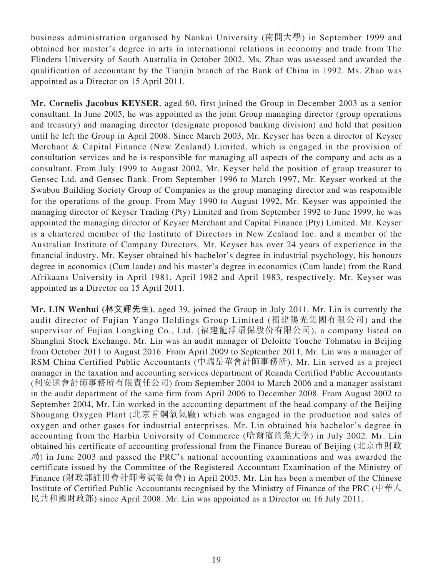business administration organised by Nankai University (南開大學) in September 1999 and obtained her master's degree in arts in international relations in economy and trade from The Flinders University of South Australia in October 2002. Ms. Zhao was assessed and awarded the qualification of accountant by the Tianjin branch of the Bank of China in 1992. Ms. Zhao was appointed as a Director on 15 April 2011.

**Mr. Cornelis Jacobus KEYSER**, aged 60, first joined the Group in December 2003 as a senior consultant. In June 2005, he was appointed as the joint Group managing director (group operations and treasury) and managing director (designate proposed banking division) and held that position until he left the Group in April 2008. Since March 2003, Mr. Keyser has been a director of Keyser Merchant & Capital Finance (New Zealand) Limited, which is engaged in the provision of consultation services and he is responsible for managing all aspects of the company and acts as a consultant. From July 1999 to August 2002, Mr. Keyser held the position of group treasurer to Gensec Ltd. and Gensec Bank. From September 1996 to March 1997, Mr. Keyser worked at the Swabou Building Society Group of Companies as the group managing director and was responsible for the operations of the group. From May 1990 to August 1992, Mr. Keyser was appointed the managing director of Keyser Trading (Pty) Limited and from September 1992 to June 1999, he was appointed the managing director of Keyser Merchant and Capital Finance (Pty) Limited. Mr. Keyser is a chartered member of the Institute of Directors in New Zealand Inc. and a member of the Australian Institute of Company Directors. Mr. Keyser has over 24 years of experience in the financial industry. Mr. Keyser obtained his bachelor's degree in industrial psychology, his honours degree in economics (Cum laude) and his master's degree in economics (Cum laude) from the Rand Afrikaans University in April 1981, April 1982 and April 1983, respectively. Mr. Keyser was appointed as a Director on 15 April 2011.

**Mr. LIN Wenhui (林文輝先生)**, aged 39, joined the Group in July 2011. Mr. Lin is currently the audit director of Fujian Yango Holdings Group Limited (福建陽光集團有限公司) and the supervisor of Fujian Longking Co., Ltd. (福建龍淨環保股份有限公司), a company listed on Shanghai Stock Exchange. Mr. Lin was an audit manager of Deloitte Touche Tohmatsu in Beijing from October 2011 to August 2016. From April 2009 to September 2011, Mr. Lin was a manager of RSM China Certified Public Accountants (中瑞岳華會計師事務所). Mr. Lin served as a project manager in the taxation and accounting services department of Reanda Certified Public Accountants (利安達會計師事務所有限責任公司) from September 2004 to March 2006 and a manager assistant in the audit department of the same firm from April 2006 to December 2008. From August 2002 to September 2004, Mr. Lin worked in the accounting department of the head company of the Beijing Shougang Oxygen Plant (北京首鋼氧氣廠) which was engaged in the production and sales of oxygen and other gases for industrial enterprises. Mr. Lin obtained his bachelor's degree in accounting from the Harbin University of Commerce (哈爾濱商業大學) in July 2002. Mr. Lin obtained his certificate of accounting professional from the Finance Bureau of Beijing (北京市財政 局) in June 2003 and passed the PRC's national accounting examinations and was awarded the certificate issued by the Committee of the Registered Accountant Examination of the Ministry of Finance (財政部註冊會計師考試委員會) in April 2005. Mr. Lin has been a member of the Chinese Institute of Certified Public Accountants recognised by the Ministry of Finance of the PRC (中華人 民共和國財政部) since April 2008. Mr. Lin was appointed as a Director on 16 July 2011.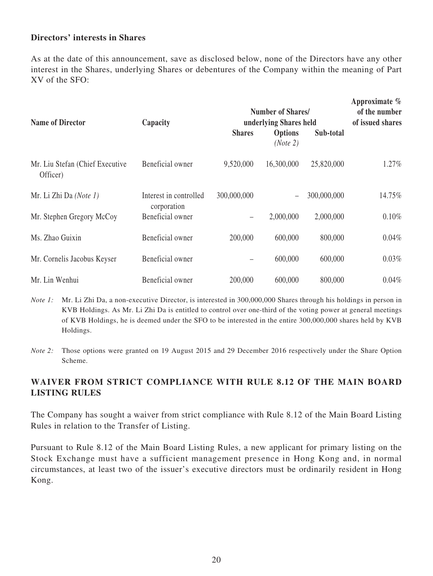#### **Directors' interests in Shares**

As at the date of this announcement, save as disclosed below, none of the Directors have any other interest in the Shares, underlying Shares or debentures of the Company within the meaning of Part XV of the SFO:

| <b>Name of Director</b>                     | Capacity                              | <b>Number of Shares/</b><br>underlying Shares held | Approximate $\%$<br>of the number<br>of issued shares |             |        |
|---------------------------------------------|---------------------------------------|----------------------------------------------------|-------------------------------------------------------|-------------|--------|
|                                             | <b>Shares</b>                         |                                                    | <b>Options</b><br>(Note 2)                            | Sub-total   |        |
| Mr. Liu Stefan (Chief Executive<br>Officer) | Beneficial owner                      | 9,520,000                                          | 16,300,000                                            | 25,820,000  | 1.27%  |
| Mr. Li Zhi Da (Note 1)                      | Interest in controlled<br>corporation | 300,000,000                                        | $\overline{\phantom{m}}$                              | 300,000,000 | 14.75% |
| Mr. Stephen Gregory McCoy                   | Beneficial owner                      | $\overline{\phantom{0}}$                           | 2,000,000                                             | 2,000,000   | 0.10%  |
| Ms. Zhao Guixin                             | Beneficial owner                      | 200,000                                            | 600,000                                               | 800,000     | 0.04%  |
| Mr. Cornelis Jacobus Keyser                 | Beneficial owner                      |                                                    | 600,000                                               | 600,000     | 0.03%  |
| Mr. Lin Wenhui                              | Beneficial owner                      | 200,000                                            | 600,000                                               | 800,000     | 0.04%  |

*Note 1:* Mr. Li Zhi Da, a non-executive Director, is interested in 300,000,000 Shares through his holdings in person in KVB Holdings. As Mr. Li Zhi Da is entitled to control over one-third of the voting power at general meetings of KVB Holdings, he is deemed under the SFO to be interested in the entire 300,000,000 shares held by KVB Holdings.

*Note 2:* Those options were granted on 19 August 2015 and 29 December 2016 respectively under the Share Option Scheme.

# **WAIVER FROM STRICT COMPLIANCE WITH RULE 8.12 OF THE MAIN BOARD LISTING RULES**

The Company has sought a waiver from strict compliance with Rule 8.12 of the Main Board Listing Rules in relation to the Transfer of Listing.

Pursuant to Rule 8.12 of the Main Board Listing Rules, a new applicant for primary listing on the Stock Exchange must have a sufficient management presence in Hong Kong and, in normal circumstances, at least two of the issuer's executive directors must be ordinarily resident in Hong Kong.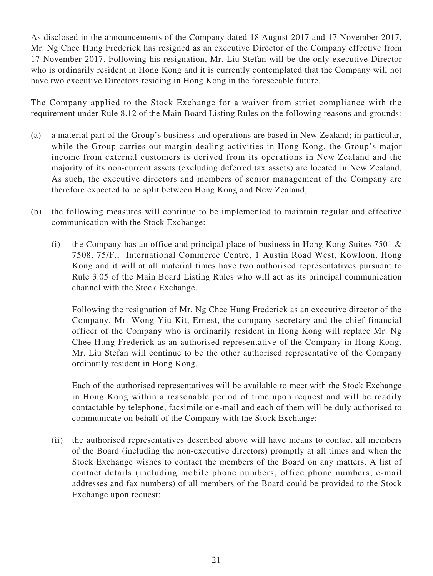As disclosed in the announcements of the Company dated 18 August 2017 and 17 November 2017, Mr. Ng Chee Hung Frederick has resigned as an executive Director of the Company effective from 17 November 2017. Following his resignation, Mr. Liu Stefan will be the only executive Director who is ordinarily resident in Hong Kong and it is currently contemplated that the Company will not have two executive Directors residing in Hong Kong in the foreseeable future.

The Company applied to the Stock Exchange for a waiver from strict compliance with the requirement under Rule 8.12 of the Main Board Listing Rules on the following reasons and grounds:

- (a) a material part of the Group's business and operations are based in New Zealand; in particular, while the Group carries out margin dealing activities in Hong Kong, the Group's major income from external customers is derived from its operations in New Zealand and the majority of its non-current assets (excluding deferred tax assets) are located in New Zealand. As such, the executive directors and members of senior management of the Company are therefore expected to be split between Hong Kong and New Zealand;
- (b) the following measures will continue to be implemented to maintain regular and effective communication with the Stock Exchange:
	- (i) the Company has an office and principal place of business in Hong Kong Suites 7501  $\&$ 7508, 75/F., International Commerce Centre, 1 Austin Road West, Kowloon, Hong Kong and it will at all material times have two authorised representatives pursuant to Rule 3.05 of the Main Board Listing Rules who will act as its principal communication channel with the Stock Exchange.

Following the resignation of Mr. Ng Chee Hung Frederick as an executive director of the Company, Mr. Wong Yiu Kit, Ernest, the company secretary and the chief financial officer of the Company who is ordinarily resident in Hong Kong will replace Mr. Ng Chee Hung Frederick as an authorised representative of the Company in Hong Kong. Mr. Liu Stefan will continue to be the other authorised representative of the Company ordinarily resident in Hong Kong.

Each of the authorised representatives will be available to meet with the Stock Exchange in Hong Kong within a reasonable period of time upon request and will be readily contactable by telephone, facsimile or e-mail and each of them will be duly authorised to communicate on behalf of the Company with the Stock Exchange;

(ii) the authorised representatives described above will have means to contact all members of the Board (including the non-executive directors) promptly at all times and when the Stock Exchange wishes to contact the members of the Board on any matters. A list of contact details (including mobile phone numbers, office phone numbers, e-mail addresses and fax numbers) of all members of the Board could be provided to the Stock Exchange upon request;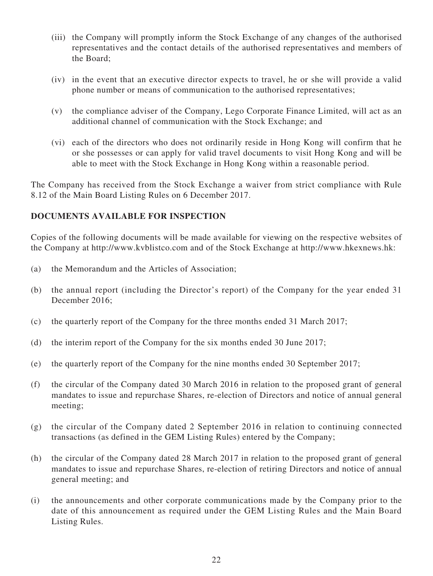- (iii) the Company will promptly inform the Stock Exchange of any changes of the authorised representatives and the contact details of the authorised representatives and members of the Board;
- (iv) in the event that an executive director expects to travel, he or she will provide a valid phone number or means of communication to the authorised representatives;
- (v) the compliance adviser of the Company, Lego Corporate Finance Limited, will act as an additional channel of communication with the Stock Exchange; and
- (vi) each of the directors who does not ordinarily reside in Hong Kong will confirm that he or she possesses or can apply for valid travel documents to visit Hong Kong and will be able to meet with the Stock Exchange in Hong Kong within a reasonable period.

The Company has received from the Stock Exchange a waiver from strict compliance with Rule 8.12 of the Main Board Listing Rules on 6 December 2017.

# **DOCUMENTS AVAILABLE FOR INSPECTION**

Copies of the following documents will be made available for viewing on the respective websites of the Company at http://www.kvblistco.com and of the Stock Exchange at http://www.hkexnews.hk:

- (a) the Memorandum and the Articles of Association;
- (b) the annual report (including the Director's report) of the Company for the year ended 31 December 2016;
- (c) the quarterly report of the Company for the three months ended 31 March 2017;
- (d) the interim report of the Company for the six months ended 30 June 2017;
- (e) the quarterly report of the Company for the nine months ended 30 September 2017;
- (f) the circular of the Company dated 30 March 2016 in relation to the proposed grant of general mandates to issue and repurchase Shares, re-election of Directors and notice of annual general meeting;
- (g) the circular of the Company dated 2 September 2016 in relation to continuing connected transactions (as defined in the GEM Listing Rules) entered by the Company;
- (h) the circular of the Company dated 28 March 2017 in relation to the proposed grant of general mandates to issue and repurchase Shares, re-election of retiring Directors and notice of annual general meeting; and
- (i) the announcements and other corporate communications made by the Company prior to the date of this announcement as required under the GEM Listing Rules and the Main Board Listing Rules.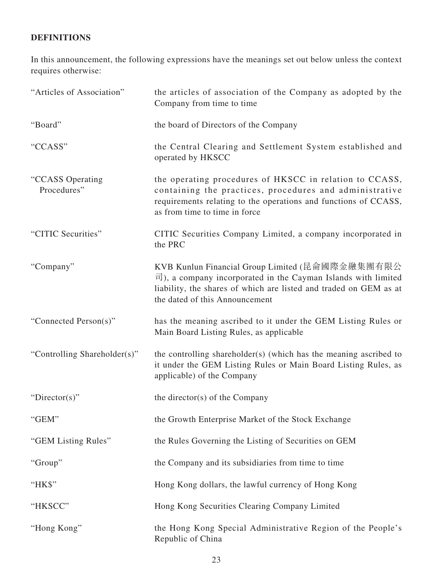# **DEFINITIONS**

In this announcement, the following expressions have the meanings set out below unless the context requires otherwise:

| "Articles of Association"       | the articles of association of the Company as adopted by the<br>Company from time to time                                                                                                                                                      |
|---------------------------------|------------------------------------------------------------------------------------------------------------------------------------------------------------------------------------------------------------------------------------------------|
| "Board"                         | the board of Directors of the Company                                                                                                                                                                                                          |
| "CCASS"                         | the Central Clearing and Settlement System established and<br>operated by HKSCC                                                                                                                                                                |
| "CCASS Operating<br>Procedures" | the operating procedures of HKSCC in relation to CCASS,<br>containing the practices, procedures and administrative<br>requirements relating to the operations and functions of CCASS,<br>as from time to time in force                         |
| "CITIC Securities"              | CITIC Securities Company Limited, a company incorporated in<br>the PRC                                                                                                                                                                         |
| "Company"                       | KVB Kunlun Financial Group Limited (昆侖國際金融集團有限公<br>$\overline{\mathbb{E}}$ ), a company incorporated in the Cayman Islands with limited<br>liability, the shares of which are listed and traded on GEM as at<br>the dated of this Announcement |
| "Connected Person(s)"           | has the meaning ascribed to it under the GEM Listing Rules or<br>Main Board Listing Rules, as applicable                                                                                                                                       |
| "Controlling Shareholder(s)"    | the controlling shareholder(s) (which has the meaning ascribed to<br>it under the GEM Listing Rules or Main Board Listing Rules, as<br>applicable) of the Company                                                                              |
| "Director(s)"                   | the director(s) of the Company                                                                                                                                                                                                                 |
| "GEM"                           | the Growth Enterprise Market of the Stock Exchange                                                                                                                                                                                             |
| "GEM Listing Rules"             | the Rules Governing the Listing of Securities on GEM                                                                                                                                                                                           |
| "Group"                         | the Company and its subsidiaries from time to time                                                                                                                                                                                             |
| "HK\$"                          | Hong Kong dollars, the lawful currency of Hong Kong                                                                                                                                                                                            |
| "HKSCC"                         | Hong Kong Securities Clearing Company Limited                                                                                                                                                                                                  |
| "Hong Kong"                     | the Hong Kong Special Administrative Region of the People's<br>Republic of China                                                                                                                                                               |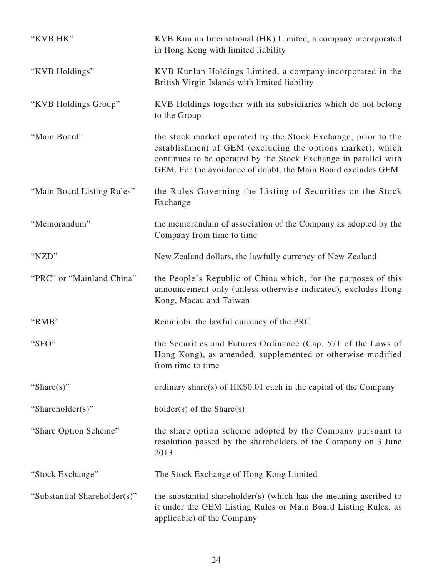| "KVB HK"                     | KVB Kunlun International (HK) Limited, a company incorporated<br>in Hong Kong with limited liability                                                                                                                                                           |
|------------------------------|----------------------------------------------------------------------------------------------------------------------------------------------------------------------------------------------------------------------------------------------------------------|
| "KVB Holdings"               | KVB Kunlun Holdings Limited, a company incorporated in the<br>British Virgin Islands with limited liability                                                                                                                                                    |
| "KVB Holdings Group"         | KVB Holdings together with its subsidiaries which do not belong<br>to the Group                                                                                                                                                                                |
| "Main Board"                 | the stock market operated by the Stock Exchange, prior to the<br>establishment of GEM (excluding the options market), which<br>continues to be operated by the Stock Exchange in parallel with<br>GEM. For the avoidance of doubt, the Main Board excludes GEM |
| "Main Board Listing Rules"   | the Rules Governing the Listing of Securities on the Stock<br>Exchange                                                                                                                                                                                         |
| "Memorandum"                 | the memorandum of association of the Company as adopted by the<br>Company from time to time                                                                                                                                                                    |
| "NZD"                        | New Zealand dollars, the lawfully currency of New Zealand                                                                                                                                                                                                      |
| "PRC" or "Mainland China"    | the People's Republic of China which, for the purposes of this<br>announcement only (unless otherwise indicated), excludes Hong<br>Kong, Macau and Taiwan                                                                                                      |
| "RMB"                        | Renminbi, the lawful currency of the PRC                                                                                                                                                                                                                       |
| "SFO"                        | the Securities and Futures Ordinance (Cap. 571 of the Laws of<br>Hong Kong), as amended, supplemented or otherwise modified<br>from time to time                                                                                                               |
| "Share $(s)$ "               | ordinary share(s) of $HK$0.01$ each in the capital of the Company                                                                                                                                                                                              |
| "Shareholder(s)"             | $holder(s)$ of the Share $(s)$                                                                                                                                                                                                                                 |
| "Share Option Scheme"        | the share option scheme adopted by the Company pursuant to<br>resolution passed by the shareholders of the Company on 3 June<br>2013                                                                                                                           |
| "Stock Exchange"             | The Stock Exchange of Hong Kong Limited                                                                                                                                                                                                                        |
| "Substantial Shareholder(s)" | the substantial shareholder(s) (which has the meaning ascribed to<br>it under the GEM Listing Rules or Main Board Listing Rules, as<br>applicable) of the Company                                                                                              |